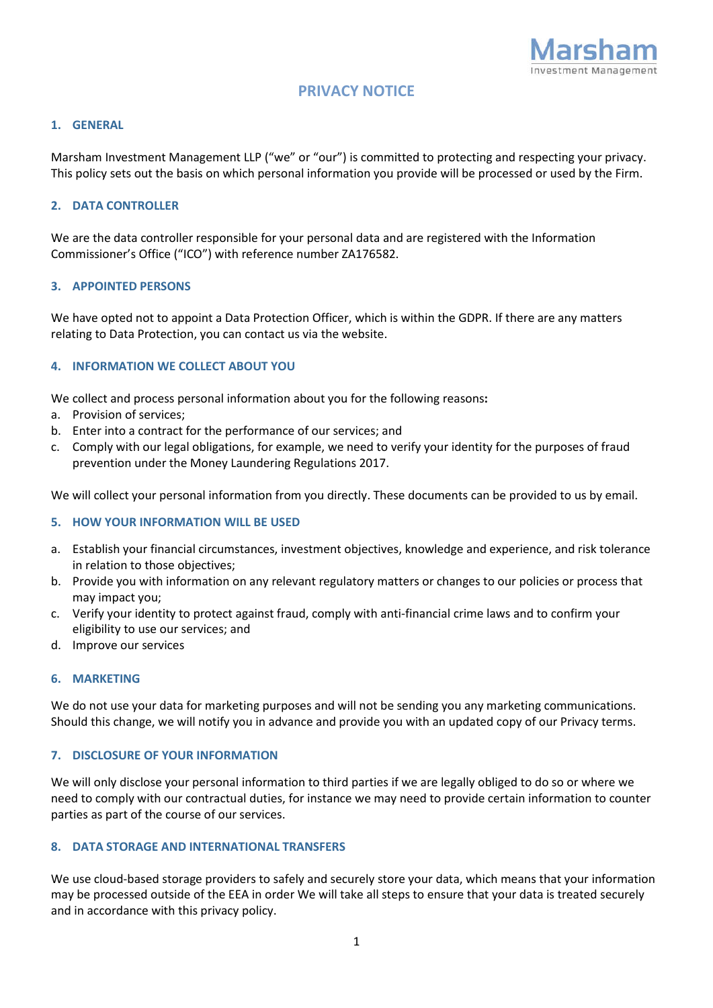

# **PRIVACY NOTICE**

#### **1. GENERAL**

Marsham Investment Management LLP ("we" or "our") is committed to protecting and respecting your privacy. This policy sets out the basis on which personal information you provide will be processed or used by the Firm.

#### **2. DATA CONTROLLER**

We are the data controller responsible for your personal data and are registered with the Information Commissioner's Office ("ICO") with reference number ZA176582.

#### **3. APPOINTED PERSONS**

We have opted not to appoint a Data Protection Officer, which is within the GDPR. If there are any matters relating to Data Protection, you can contact us via the website.

### **4. INFORMATION WE COLLECT ABOUT YOU**

We collect and process personal information about you for the following reasons**:**

- a. Provision of services;
- b. Enter into a contract for the performance of our services; and
- c. Comply with our legal obligations, for example, we need to verify your identity for the purposes of fraud prevention under the Money Laundering Regulations 2017.

We will collect your personal information from you directly. These documents can be provided to us by email.

#### **5. HOW YOUR INFORMATION WILL BE USED**

- a. Establish your financial circumstances, investment objectives, knowledge and experience, and risk tolerance in relation to those objectives;
- b. Provide you with information on any relevant regulatory matters or changes to our policies or process that may impact you;
- c. Verify your identity to protect against fraud, comply with anti-financial crime laws and to confirm your eligibility to use our services; and
- d. Improve our services

#### **6. MARKETING**

We do not use your data for marketing purposes and will not be sending you any marketing communications. Should this change, we will notify you in advance and provide you with an updated copy of our Privacy terms.

#### **7. DISCLOSURE OF YOUR INFORMATION**

We will only disclose your personal information to third parties if we are legally obliged to do so or where we need to comply with our contractual duties, for instance we may need to provide certain information to counter parties as part of the course of our services.

#### **8. DATA STORAGE AND INTERNATIONAL TRANSFERS**

We use cloud-based storage providers to safely and securely store your data, which means that your information may be processed outside of the EEA in order We will take all steps to ensure that your data is treated securely and in accordance with this privacy policy.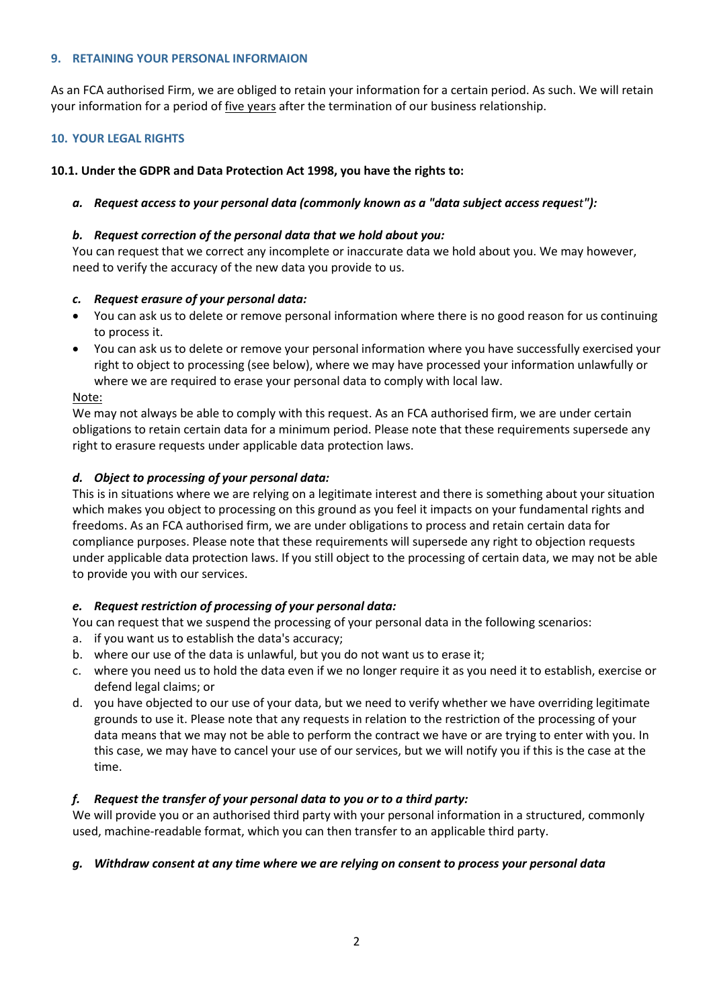## **9. RETAINING YOUR PERSONAL INFORMAION**

As an FCA authorised Firm, we are obliged to retain your information for a certain period. As such. We will retain your information for a period of five years after the termination of our business relationship.

# **10. YOUR LEGAL RIGHTS**

# **10.1. Under the GDPR and Data Protection Act 1998, you have the rights to:**

# *a. Request access to your personal data (commonly known as a "data subject access request"):*

# *b. Request correction of the personal data that we hold about you:*

You can request that we correct any incomplete or inaccurate data we hold about you. We may however, need to verify the accuracy of the new data you provide to us.

# *c. Request erasure of your personal data:*

- You can ask us to delete or remove personal information where there is no good reason for us continuing to process it.
- You can ask us to delete or remove your personal information where you have successfully exercised your right to object to processing (see below), where we may have processed your information unlawfully or where we are required to erase your personal data to comply with local law.

# Note:

We may not always be able to comply with this request. As an FCA authorised firm, we are under certain obligations to retain certain data for a minimum period. Please note that these requirements supersede any right to erasure requests under applicable data protection laws.

# *d. Object to processing of your personal data:*

This is in situations where we are relying on a legitimate interest and there is something about your situation which makes you object to processing on this ground as you feel it impacts on your fundamental rights and freedoms. As an FCA authorised firm, we are under obligations to process and retain certain data for compliance purposes. Please note that these requirements will supersede any right to objection requests under applicable data protection laws. If you still object to the processing of certain data, we may not be able to provide you with our services.

# *e. Request restriction of processing of your personal data:*

You can request that we suspend the processing of your personal data in the following scenarios:

- a. if you want us to establish the data's accuracy;
- b. where our use of the data is unlawful, but you do not want us to erase it;
- c. where you need us to hold the data even if we no longer require it as you need it to establish, exercise or defend legal claims; or
- d. you have objected to our use of your data, but we need to verify whether we have overriding legitimate grounds to use it. Please note that any requests in relation to the restriction of the processing of your data means that we may not be able to perform the contract we have or are trying to enter with you. In this case, we may have to cancel your use of our services, but we will notify you if this is the case at the time.

# *f. Request the transfer of your personal data to you or to a third party:*

We will provide you or an authorised third party with your personal information in a structured, commonly used, machine-readable format, which you can then transfer to an applicable third party.

### *g. Withdraw consent at any time where we are relying on consent to process your personal data*